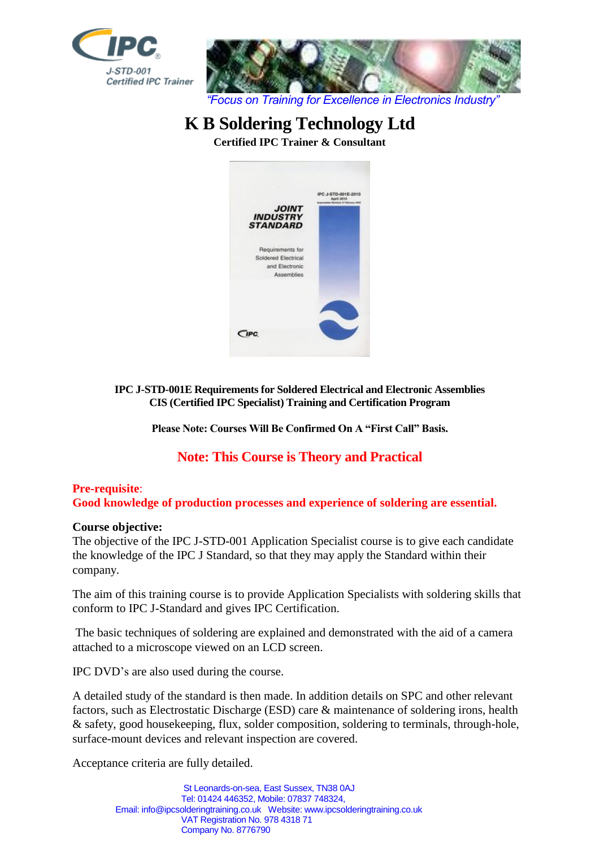



# **K B Soldering Technology Ltd**

**Certified IPC Trainer & Consultant**



**IPC J-STD-001E Requirements for Soldered Electrical and Electronic Assemblies CIS (Certified IPC Specialist) Training and Certification Program**

**Please Note: Courses Will Be Confirmed On A "First Call" Basis.**

# **Note: This Course is Theory and Practical**

# **Pre-requisite**:

**Good knowledge of production processes and experience of soldering are essential.**

# **Course objective:**

The objective of the IPC J-STD-001 Application Specialist course is to give each candidate the knowledge of the IPC J Standard, so that they may apply the Standard within their company.

The aim of this training course is to provide Application Specialists with soldering skills that conform to IPC J-Standard and gives IPC Certification.

The basic techniques of soldering are explained and demonstrated with the aid of a camera attached to a microscope viewed on an LCD screen.

IPC DVD's are also used during the course.

A detailed study of the standard is then made. In addition details on SPC and other relevant factors, such as Electrostatic Discharge (ESD) care & maintenance of soldering irons, health & safety, good housekeeping, flux, solder composition, soldering to terminals, through-hole, surface-mount devices and relevant inspection are covered.

Acceptance criteria are fully detailed.